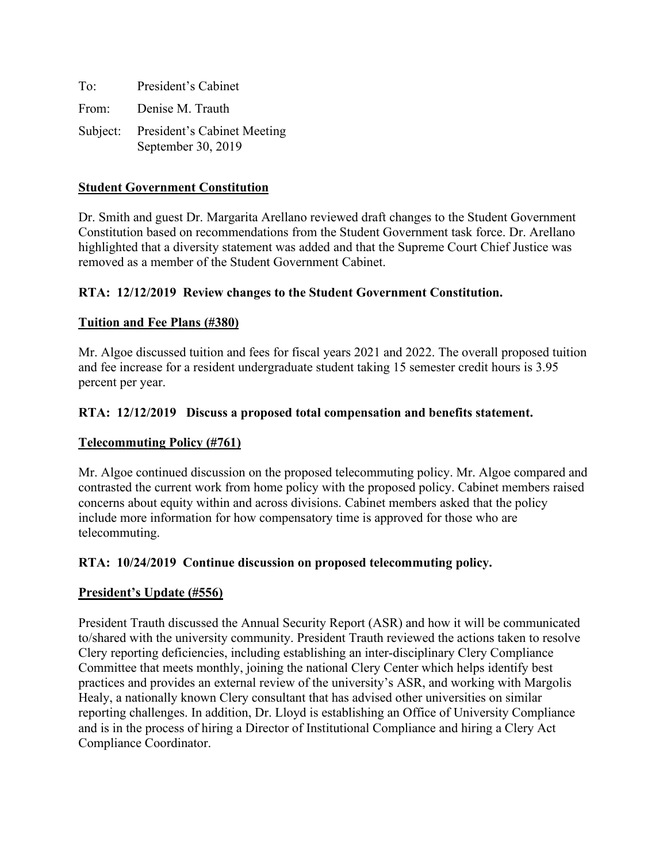| To:   | President's Cabinet                                        |
|-------|------------------------------------------------------------|
| From: | Denise M. Trauth                                           |
|       | Subject: President's Cabinet Meeting<br>September 30, 2019 |

### **Student Government Constitution**

Dr. Smith and guest Dr. Margarita Arellano reviewed draft changes to the Student Government Constitution based on recommendations from the Student Government task force. Dr. Arellano highlighted that a diversity statement was added and that the Supreme Court Chief Justice was removed as a member of the Student Government Cabinet.

# **RTA: 12/12/2019 Review changes to the Student Government Constitution.**

# **Tuition and Fee Plans (#380)**

Mr. Algoe discussed tuition and fees for fiscal years 2021 and 2022. The overall proposed tuition and fee increase for a resident undergraduate student taking 15 semester credit hours is 3.95 percent per year.

# **RTA: 12/12/2019 Discuss a proposed total compensation and benefits statement.**

#### **Telecommuting Policy (#761)**

Mr. Algoe continued discussion on the proposed telecommuting policy. Mr. Algoe compared and contrasted the current work from home policy with the proposed policy. Cabinet members raised concerns about equity within and across divisions. Cabinet members asked that the policy include more information for how compensatory time is approved for those who are telecommuting.

#### **RTA: 10/24/2019 Continue discussion on proposed telecommuting policy.**

#### **President's Update (#556)**

President Trauth discussed the Annual Security Report (ASR) and how it will be communicated to/shared with the university community. President Trauth reviewed the actions taken to resolve Clery reporting deficiencies, including establishing an inter-disciplinary Clery Compliance Committee that meets monthly, joining the national Clery Center which helps identify best practices and provides an external review of the university's ASR, and working with Margolis Healy, a nationally known Clery consultant that has advised other universities on similar reporting challenges. In addition, Dr. Lloyd is establishing an Office of University Compliance and is in the process of hiring a Director of Institutional Compliance and hiring a Clery Act Compliance Coordinator.